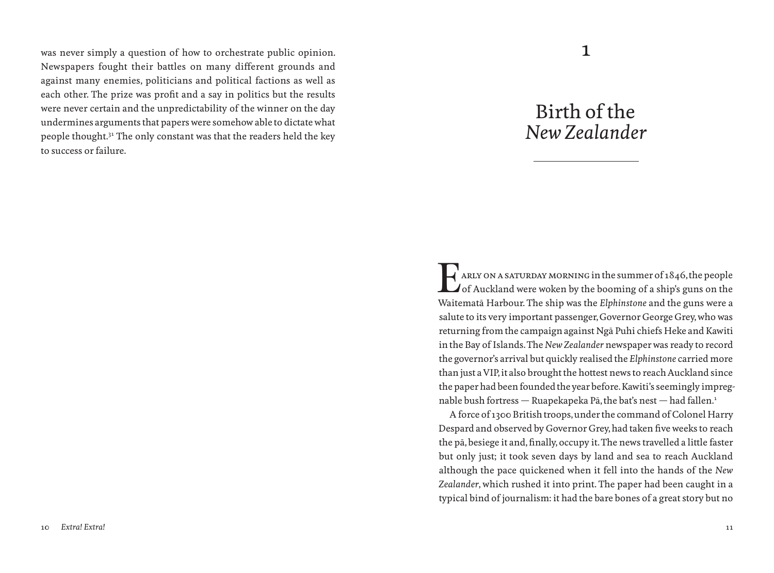## Birth of the *New Zealander*

ARLY ON A SATURDAY MORNING in the summer of  $1846$ , the people  $\angle$  of Auckland were woken by the booming of a ship's guns on the Waitematā Harbour. The ship was the *Elphinstone* and the guns were a salute to its very important passenger, Governor George Grey, who was returning from the campaign against Ngā Puhi chiefs Heke and Kawiti in the Bay of  Islands. The *New Zealander* newspaper was ready to record the governor's arrival but quickly realised the *Elphinstone* carried more than just a VIP, it also brought the hottest news to reach Auckland since the paper had been founded the year before. Kawiti's seemingly impregnable bush fortress — Ruapekapeka Pā, the bat's nest — had fallen.<sup>1</sup>

A force of  1300 British troops, under the command of  Colonel Harry Despard and observed by Governor Grey, had taken five weeks to reach the pā, besiege it and, finally, occupy it. The news travelled a little faster but only just; it took seven days by land and sea to reach Auckland although the pace quickened when it fell into the hands of  the *New Zealander*, which rushed it into print. The paper had been caught in a typical bind of  journalism: it had the bare bones of  a great story but no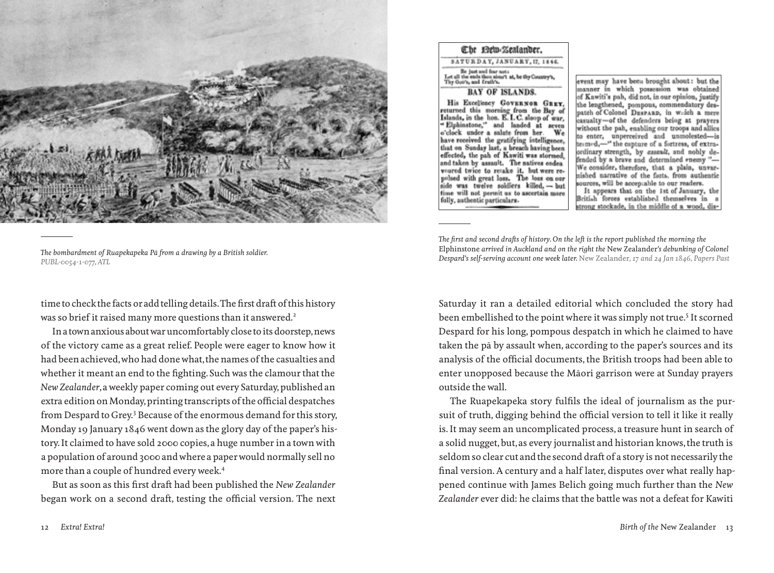

*The bombardment of  Ruapekapeka Pā from a drawing by a British soldier. PUBL-0054-1-077, ATL*

time to check the facts or add telling details. The first draft of  this history was so brief it raised many more questions than it answered.<sup>2</sup>

In a town anxious about war uncomfortably close to its doorstep, news of  the victory came as a great relief. People were eager to know how it had been achieved, who had done what, the names of  the casualties and whether it meant an end to the fighting. Such was the clamour that the *New Zealander*, a weekly paper coming out every Saturday, published an extra edition on Monday, printing transcripts of  the official despatches from Despard to Grey.<sup>3</sup> Because of the enormous demand for this story, Monday 19 January 1846 went down as the glory day of  the paper's history. It claimed to have sold 2000 copies, a huge number in a town with a population of  around 3000 and where a paper would normally sell no more than a couple of hundred every week.<sup>4</sup>

But as soon as this first draft had been published the *New Zealander* began work on a second draft, testing the official version. The next



event may have been brought about: but the manner in which possession was obtained of Kawiti's pah, did not, in our opinion, justify the lengthened, pompous, commendatory despatch of Colonel DESPARD, in which a mere casualty-of the defenders being at prayers without the pah, enabling our troops and allies to enter, unperceived and unmolested-is termed.-" the capture of a fortress, of extraordinary strength, by essewit, and nobly defended by a brave and determined enemy "-We consider, therefore, that a plain, unvarnished narrative of the facts, from authentic sources, will be acceptable to our readers.

It appears that on the 1st of January, the British forces established themselves in a strong stockade, in the middle of a wood, dis-

*The first and second drafts of  history. On the left is the report published the morning the*  Elphinstone *arrived in Auckland and on the right the* New Zealander*'s debunking of  Colonel Despard's self-serving account one week later.* New Zealander*, 17 and 24 Jan 1846, Papers Past*

Saturday it ran a detailed editorial which concluded the story had been embellished to the point where it was simply not true.<sup>5</sup> It scorned Despard for his long, pompous despatch in which he claimed to have taken the pā by assault when, according to the paper's sources and its analysis of  the official documents, the British troops had been able to enter unopposed because the Māori garrison were at Sunday prayers outside the wall.

The Ruapekapeka story fulfils the ideal of  journalism as the pursuit of  truth, digging behind the official version to tell it like it really is. It may seem an uncomplicated process, a treasure hunt in search of  a solid nugget, but, as every journalist and historian knows, the truth is seldom so clear cut and the second draft of  a story is not necessarily the final version. A century and a half  later, disputes over what really happened continue with James Belich going much further than the *New Zealander* ever did: he claims that the battle was not a defeat for Kawiti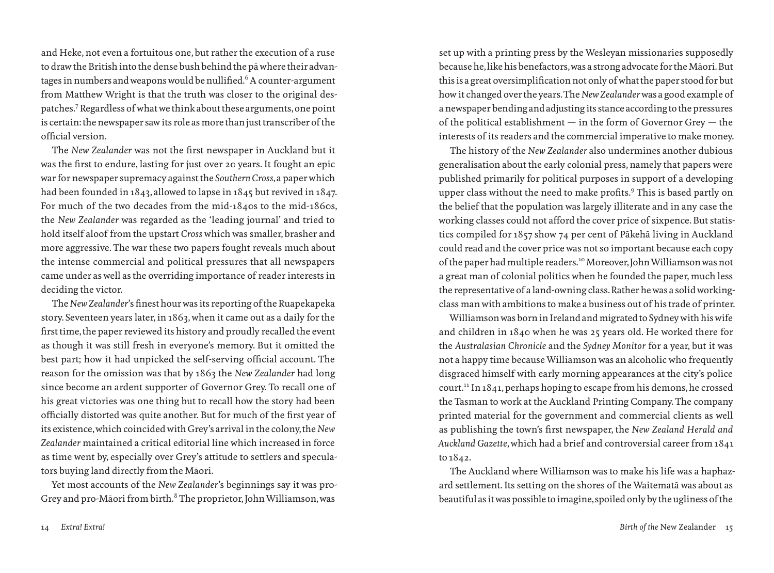and Heke, not even a fortuitous one, but rather the execution of  a ruse to draw the British into the dense bush behind the pā where their advantages in numbers and weapons would be nullified.<sup>6</sup> A counter-argument from Matthew Wright is that the truth was closer to the original despatches.7 Regardless of  what we think about these arguments, one point is certain: the newspaper saw its role as more than just transcriber of the official version.

The *New Zealander* was not the first newspaper in Auckland but it was the first to endure, lasting for just over 20 years. It fought an epic war for newspaper supremacy against the *Southern Cross*, a paper which had been founded in 1843, allowed to lapse in 1845 but revived in 1847. For much of the two decades from the mid-1840s to the mid-1860s, the *New Zealander* was regarded as the 'leading journal' and tried to hold itself  aloof  from the upstart *Cross* which was smaller, brasher and more aggressive. The war these two papers fought reveals much about the intense commercial and political pressures that all newspapers came under as well as the overriding importance of  reader interests in deciding the victor.

The *New Zealander*'s finest hour was its reporting of  the Ruapekapeka story. Seventeen years later, in 1863, when it came out as a daily for the first time, the paper reviewed its history and proudly recalled the event as though it was still fresh in everyone's memory. But it omitted the best part; how it had unpicked the self-serving official account. The reason for the omission was that by 1863 the *New Zealander* had long since become an ardent supporter of  Governor Grey. To recall one of  his great victories was one thing but to recall how the story had been officially distorted was quite another. But for much of  the first year of  its existence, which coincided with Grey's arrival in the colony, the *New Zealander* maintained a critical editorial line which increased in force as time went by, especially over Grey's attitude to settlers and speculators buying land directly from the Māori.

Yet most accounts of  the *New Zealander*'s beginnings say it was pro-Grey and pro-Māori from birth. $^8$  The proprietor, John Williamson, was

set up with a printing press by the Wesleyan missionaries supposedly because he, like his benefactors, was a strong advocate for the Māori. But this is a great oversimplification not only of  what the paper stood for but how it changed over the years. The *New Zealander* was a good example of  a newspaper bending and adjusting its stance according to the pressures of the political establishment — in the form of Governor Grey — the interests of  its readers and the commercial imperative to make money.

The history of  the *New Zealander* also undermines another dubious generalisation about the early colonial press, namely that papers were published primarily for political purposes in support of  a developing upper class without the need to make profits.<sup>9</sup> This is based partly on the belief  that the population was largely illiterate and in any case the working classes could not afford the cover price of  sixpence. But statistics compiled for 1857 show 74 per cent of  Pākehā living in Auckland could read and the cover price was not so important because each copy of  the paper had multiple readers.10 Moreover, John Williamson was not a great man of  colonial politics when he founded the paper, much less the representative of  a land-owning class. Rather he was a solid workingclass man with ambitions to make a business out of  his trade of  printer.

Williamson was born in Ireland and migrated to Sydney with his wife and children in 1840 when he was 25 years old. He worked there for the *Australasian Chronicle* and the *Sydney Monitor* for a year, but it was not a happy time because Williamson was an alcoholic who frequently disgraced himself  with early morning appearances at the city's police court.11 In 1841, perhaps hoping to escape from his demons, he crossed the Tasman to work at the Auckland Printing Company. The company printed material for the government and commercial clients as well as publishing the town's first newspaper, the *New Zealand Herald and Auckland Gazette*, which had a brief  and controversial career from 1841 to  $1842.$ 

The Auckland where Williamson was to make his life was a haphazard settlement. Its setting on the shores of  the Waitematā was about as beautiful as it was possible to imagine, spoiled only by the ugliness of  the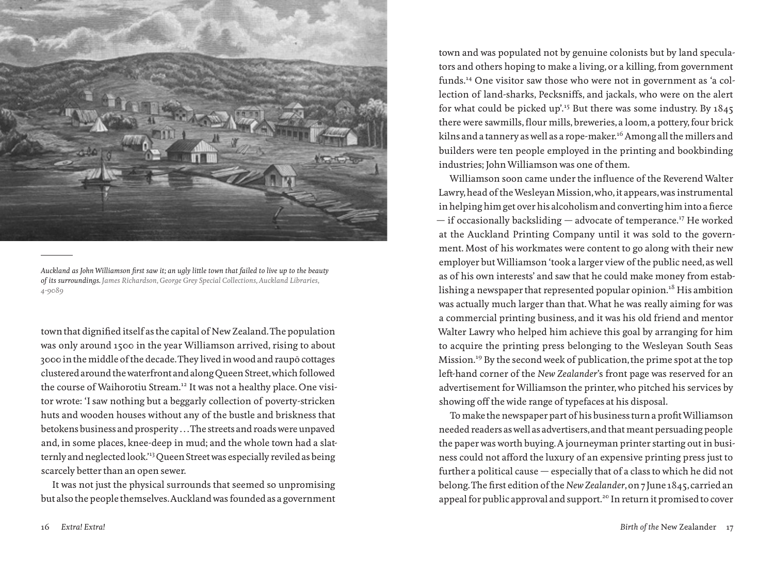

*Auckland as John Williamson first saw it; an ugly little town that failed to live up to the beauty of  its surroundings. James Richardson, George Grey Special Collections, Auckland Libraries, 4-9089*

town that dignified itself  as the capital of  New Zealand. The population was only around 1500 in the year Williamson arrived, rising to about 3000 in the middle of  the decade. They lived in wood and raupō cottages clustered around the waterfront and along Queen Street, which followed the course of Waihorotiu Stream.<sup>12</sup> It was not a healthy place. One visitor wrote: 'I saw nothing but a beggarly collection of  poverty-stricken huts and wooden houses without any of  the bustle and briskness that betokens business and prosperity . . . The streets and roads were unpaved and, in some places, knee-deep in mud; and the whole town had a slatternly and neglected look.'13 Queen Street was especially reviled as being scarcely better than an open sewer.

It was not just the physical surrounds that seemed so unpromising but also the people themselves. Auckland was founded as a government

town and was populated not by genuine colonists but by land speculators and others hoping to make a living, or a killing, from government funds.14 One visitor saw those who were not in government as 'a collection of  land-sharks, Pecksniffs, and jackals, who were on the alert for what could be picked up'.<sup>15</sup> But there was some industry. By  $1845$ there were sawmills, flour mills, breweries, a loom, a pottery, four brick kilns and a tannery as well as a rope-maker.<sup>16</sup> Among all the millers and builders were ten people employed in the printing and bookbinding industries; John Williamson was one of  them.

Williamson soon came under the influence of  the Reverend Walter Lawry, head of  the Wesleyan Mission, who, it appears, was instrumental in helping him get over his alcoholism and converting him into a fierce  $-$  if occasionally backsliding  $-$  advocate of temperance.<sup>17</sup> He worked at the Auckland Printing Company until it was sold to the government. Most of  his workmates were content to go along with their new employer but Williamson 'took a larger view of  the public need, as well as of  his own interests' and saw that he could make money from establishing a newspaper that represented popular opinion.<sup>18</sup> His ambition was actually much larger than that. What he was really aiming for was a commercial printing business, and it was his old friend and mentor Walter Lawry who helped him achieve this goal by arranging for him to acquire the printing press belonging to the Wesleyan South Seas Mission.19 By the second week of  publication, the prime spot at the top left-hand corner of  the *New Zealander*'s front page was reserved for an advertisement for Williamson the printer, who pitched his services by showing off  the wide range of  typefaces at his disposal.

To make the newspaper part of  his business turn a profit Williamson needed readers as well as advertisers, and that meant persuading people the paper was worth buying. A journeyman printer starting out in business could not afford the luxury of  an expensive printing press just to further a political cause — especially that of  a class to which he did not belong. The first edition of  the *New Zealander*, on 7 June 1845, carried an appeal for public approval and support.20 In return it promised to cover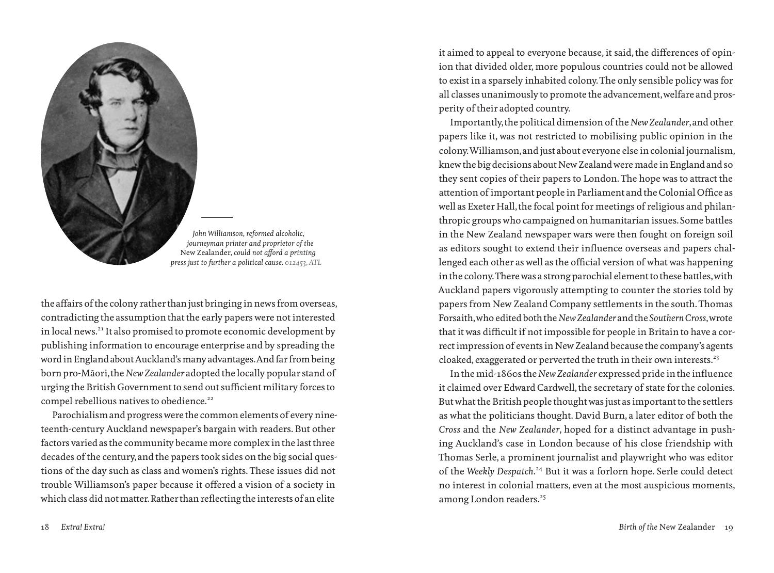

*John Williamson, reformed alcoholic, journeyman printer and proprietor of  the*  New Zealander*, could not afford a printing press just to further a political cause. 012453, ATL*

the affairs of the colony rather than just bringing in news from overseas, contradicting the assumption that the early papers were not interested in local news.21 It also promised to promote economic development by publishing information to encourage enterprise and by spreading the word in England about Auckland's many advantages. And far from being born pro-Māori, the *New Zealander* adopted the locally popular stand of  urging the British Government to send out sufficient military forces to compel rebellious natives to obedience.<sup>22</sup>

Parochialism and progress were the common elements of  every nineteenth-century Auckland newspaper's bargain with readers. But other factors varied as the community became more complex in the last three decades of  the century, and the papers took sides on the big social questions of  the day such as class and women's rights. These issues did not trouble Williamson's paper because it offered a vision of  a society in which class did not matter. Rather than reflecting the interests of  an elite

it aimed to appeal to everyone because, it said, the differences of  opinion that divided older, more populous countries could not be allowed to exist in a sparsely inhabited colony. The only sensible policy was for all classes unanimously to promote the advancement, welfare and prosperity of  their adopted country.

Importantly, the political dimension of  the *New Zealander*, and other papers like it, was not restricted to mobilising public opinion in the colony. Williamson, and just about everyone else in colonial journalism, knew the big decisions about New Zealand were made in England and so they sent copies of  their papers to London. The hope was to attract the attention of  important people in Parliament and the Colonial Office as well as Exeter Hall, the focal point for meetings of  religious and philanthropic groups who campaigned on humanitarian issues. Some battles in the New Zealand newspaper wars were then fought on foreign soil as editors sought to extend their influence overseas and papers challenged each other as well as the official version of  what was happening in the colony. There was a strong parochial element to these battles, with Auckland papers vigorously attempting to counter the stories told by papers from New Zealand Company settlements in the south. Thomas Forsaith, who edited both the *New Zealander* and the *Southern Cross*, wrote that it was difficult if  not impossible for people in Britain to have a correct impression of  events in New Zealand because the company's agents cloaked, exaggerated or perverted the truth in their own interests.23

In the mid-1860s the *New Zealander* expressed pride in the influence it claimed over Edward Cardwell, the secretary of  state for the colonies. But what the British people thought was just as important to the settlers as what the politicians thought. David Burn, a later editor of  both the *Cross* and the *New Zealander*, hoped for a distinct advantage in pushing Auckland's case in London because of  his close friendship with Thomas Serle, a prominent journalist and playwright who was editor of  the *Weekly Despatch*. 24 But it was a forlorn hope. Serle could detect no interest in colonial matters, even at the most auspicious moments, among London readers.<sup>25</sup>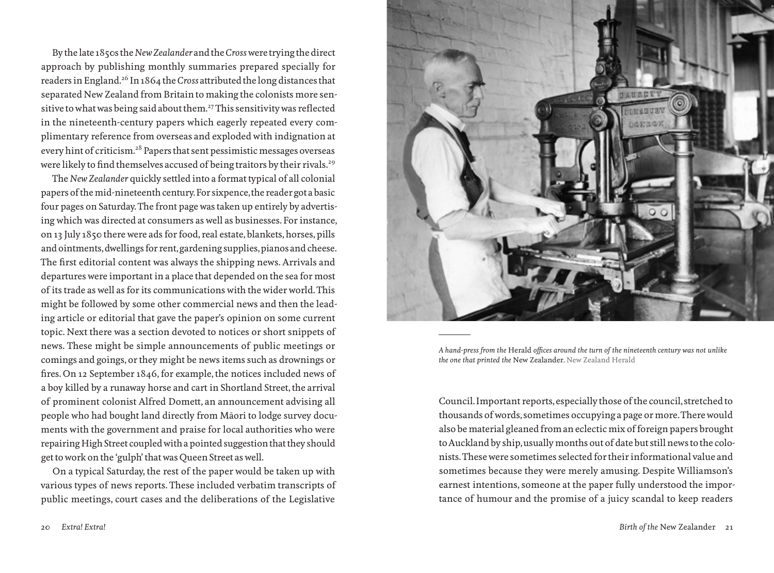By the late 1850s the *New Zealander* and the *Cross* were trying the direct approach by publishing monthly summaries prepared specially for readers in England.26 In 1864 the *Cross* attributed the long distances that separated New Zealand from Britain to making the colonists more sensitive to what was being said about them.27 This sensitivity was reflected in the nineteenth-century papers which eagerly repeated every complimentary reference from overseas and exploded with indignation at every hint of  criticism.28 Papers that sent pessimistic messages overseas were likely to find themselves accused of being traitors by their rivals.<sup>29</sup>

The *New Zealander* quickly settled into a format typical of  all colonial papers of the mid-nineteenth century. For sixpence, the reader got a basic four pages on Saturday. The front page was taken up entirely by advertising which was directed at consumers as well as businesses. For instance, on 13 July 1850 there were ads for food, real estate, blankets, horses, pills and ointments, dwellings for rent, gardening supplies, pianos and cheese. The first editorial content was always the shipping news. Arrivals and departures were important in a place that depended on the sea for most of  its trade as well as for its communications with the wider world. This might be followed by some other commercial news and then the leading article or editorial that gave the paper's opinion on some current topic. Next there was a section devoted to notices or short snippets of  news. These might be simple announcements of  public meetings or comings and goings, or they might be news items such as drownings or fires. On 12 September 1846, for example, the notices included news of  a boy killed by a runaway horse and cart in Shortland Street, the arrival of  prominent colonist Alfred Domett, an announcement advising all people who had bought land directly from Māori to lodge survey documents with the government and praise for local authorities who were repairing High Street coupled with a pointed suggestion that they should get to work on the 'gulph' that was Queen Street as well.

On a typical Saturday, the rest of  the paper would be taken up with various types of  news reports. These included verbatim transcripts of  public meetings, court cases and the deliberations of  the Legislative



*A hand-press from the* Herald *offices around the turn of  the nineteenth century was not unlike the one that printed the* New Zealander*.* New Zealand Herald

Council. Important reports, especially those of  the council, stretched to thousands of  words, sometimes occupying a page or more. There would also be material gleaned from an eclectic mix of  foreign papers brought to Auckland by ship, usually months out of  date but still news to the colonists. These were sometimes selected for their informational value and sometimes because they were merely amusing. Despite Williamson's earnest intentions, someone at the paper fully understood the importance of  humour and the promise of  a juicy scandal to keep readers